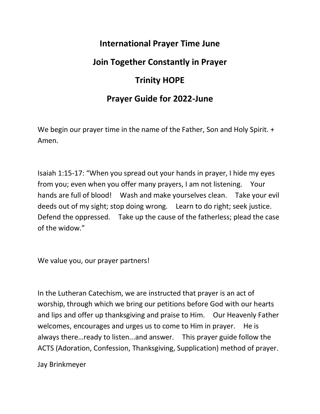## **International Prayer Time June**

## **Join Together Constantly in Prayer**

## **Trinity HOPE**

## **Prayer Guide for 2022-June**

We begin our prayer time in the name of the Father, Son and Holy Spirit. + Amen.

Isaiah 1:15-17: "When you spread out your hands in prayer, I hide my eyes from you; even when you offer many prayers, I am not listening. Your hands are full of blood! Wash and make yourselves clean. Take your evil deeds out of my sight; stop doing wrong. Learn to do right; seek justice. Defend the oppressed. Take up the cause of the fatherless; plead the case of the widow."

We value you, our prayer partners!

In the Lutheran Catechism, we are instructed that prayer is an act of worship, through which we bring our petitions before God with our hearts and lips and offer up thanksgiving and praise to Him. Our Heavenly Father welcomes, encourages and urges us to come to Him in prayer. He is always there…ready to listen...and answer. This prayer guide follow the ACTS (Adoration, Confession, Thanksgiving, Supplication) method of prayer.

Jay Brinkmeyer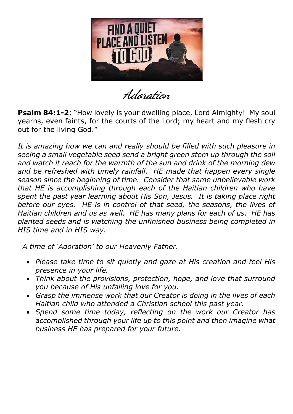

**Adoration**

**Psalm 84:1-2;** "How lovely is your dwelling place, Lord Almighty! My soul yearns, even faints, for the courts of the Lord; my heart and my flesh cry out for the living God."

It is amazing how we can and really should be filled with such pleasure in *seeing a small vegetable seed send a bright green stem up through the soil and watch it reach for the warmth of the sun and drink of the morning dew*  and be refreshed with timely rainfall. HE made that happen every single *season since the beginning of time. Consider that same unbelievable work that HE is accomplishing through each of the Haitian children who have spent the past year learning about His Son, Jesus. It is taking place right before our eyes. HE is in control of that seed, the seasons, the lives of Haitian children and us as well. HE has many plans for each of us. HE has planted seeds and is watching the unfinished business being completed in HIS time and in HIS way.*

 *A time of 'Adoration' to our Heavenly Father.* 

- *Please take time to sit quietly and gaze at His creation and feel His presence in your life.*
- *Think about the provisions, protection, hope, and love that surround you because of His unfailing love for you.*
- *Grasp the immense work that our Creator is doing in the lives of each Haitian child who attended a Christian school this past year.*
- *Spend some time today, reflecting on the work our Creator has accomplished through your life up to this point and then imagine what business HE has prepared for your future.*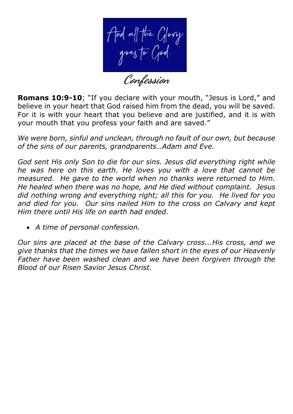And all the Glory<br>goes to God.<br>Confession

**Romans 10:9-10**; "If you declare with your mouth, "Jesus is Lord," and believe in your heart that God raised him from the dead, you will be saved. For it is with your heart that you believe and are justified, and it is with your mouth that you profess your faith and are saved."

*We were born, sinful and unclean, through no fault of our own, but because of the sins of our parents, grandparents…Adam and Eve.* 

*God sent His only Son to die for our sins. Jesus did everything right while he was here on this earth. He loves you with a love that cannot be measured. He gave to the world when no thanks were returned to Him. He healed when there was no hope, and He died without complaint. Jesus did nothing wrong and everything right; all this for you. He lived for you and died for you. Our sins nailed Him to the cross on Calvary and kept Him there until His life on earth had ended.*

• *A time of personal confession.*

*Our sins are placed at the base of the Calvary cross...His cross, and we give thanks that the times we have fallen short in the eyes of our Heavenly Father have been washed clean and we have been forgiven through the Blood of our Risen Savior Jesus Christ.*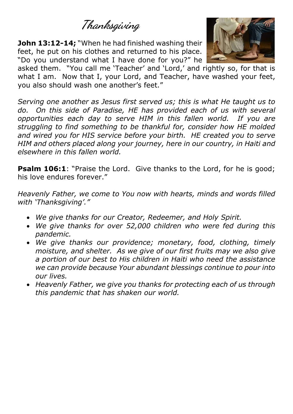**Thanksgiving**

**John 13:12-14;** "When he had finished washing their feet, he put on his clothes and returned to his place. "Do you understand what I have done for you?" he



asked them. "You call me 'Teacher' and 'Lord,' and rightly so, for that is what I am. Now that I, your Lord, and Teacher, have washed your feet, you also should wash one another's feet."

*Serving one another as Jesus first served us; this is what He taught us to do. On this side of Paradise, HE has provided each of us with several opportunities each day to serve HIM in this fallen world. If you are struggling to find something to be thankful for, consider how HE molded and wired you for HIS service before your birth. HE created you to serve HIM and others placed along your journey, here in our country, in Haiti and elsewhere in this fallen world.*

**Psalm 106:1:** "Praise the Lord. Give thanks to the Lord, for he is good; his love endures forever."

*Heavenly Father, we come to You now with hearts, minds and words filled with 'Thanksgiving'."*

- *We give thanks for our Creator, Redeemer, and Holy Spirit.*
- *We give thanks for over 52,000 children who were fed during this pandemic.*
- *We give thanks our providence; monetary, food, clothing, timely moisture, and shelter. As we give of our first fruits may we also give a portion of our best to His children in Haiti who need the assistance we can provide because Your abundant blessings continue to pour into our lives.*
- *Heavenly Father, we give you thanks for protecting each of us through this pandemic that has shaken our world.*